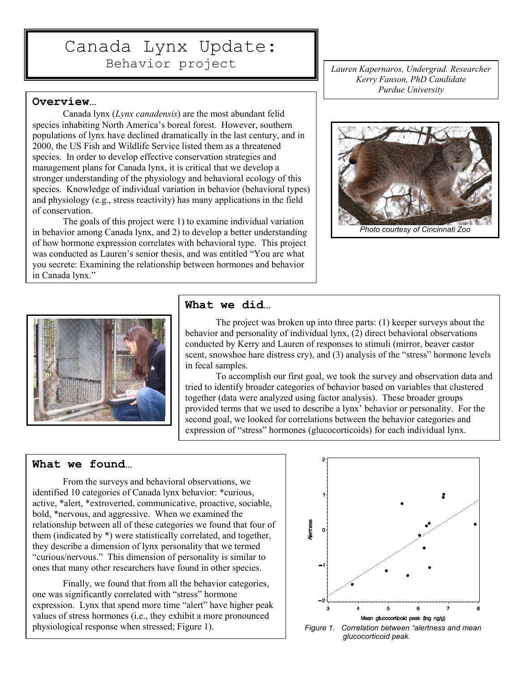# Canada Lynx Update: Behavior project

Lauren Kapernaros, Undergrad. Researcher Kerry Fanson, PhD Candidate Purdue University

#### Overview…

Ī

Canada lynx (Lynx canadensis) are the most abundant felid species inhabiting North America's boreal forest. However, southern populations of lynx have declined dramatically in the last century, and in 2000, the US Fish and Wildlife Service listed them as a threatened species. In order to develop effective conservation strategies and management plans for Canada lynx, it is critical that we develop a stronger understanding of the physiology and behavioral ecology of this species. Knowledge of individual variation in behavior (behavioral types) and physiology (e.g., stress reactivity) has many applications in the field of conservation.

The goals of this project were 1) to examine individual variation in behavior among Canada lynx, and 2) to develop a better understanding of how hormone expression correlates with behavioral type. This project was conducted as Lauren's senior thesis, and was entitled "You are what you secrete: Examining the relationship between hormones and behavior in Canada lynx."





#### What we did…

 The project was broken up into three parts: (1) keeper surveys about the behavior and personality of individual lynx, (2) direct behavioral observations conducted by Kerry and Lauren of responses to stimuli (mirror, beaver castor scent, snowshoe hare distress cry), and (3) analysis of the "stress" hormone levels in fecal samples.

To accomplish our first goal, we took the survey and observation data and tried to identify broader categories of behavior based on variables that clustered together (data were analyzed using factor analysis). These broader groups provided terms that we used to describe a lynx' behavior or personality. For the second goal, we looked for correlations between the behavior categories and expression of "stress" hormones (glucocorticoids) for each individual lynx.

### What we found…

From the surveys and behavioral observations, we identified 10 categories of Canada lynx behavior: \*curious, active, \*alert, \*extroverted, communicative, proactive, sociable, bold, \*nervous, and aggressive. When we examined the relationship between all of these categories we found that four of them (indicated by \*) were statistically correlated, and together, they describe a dimension of lynx personality that we termed "curious/nervous." This dimension of personality is similar to ones that many other researchers have found in other species.

Finally, we found that from all the behavior categories, one was significantly correlated with "stress" hormone expression. Lynx that spend more time "alert" have higher peak values of stress hormones (i.e., they exhibit a more pronounced physiological response when stressed; Figure 1).